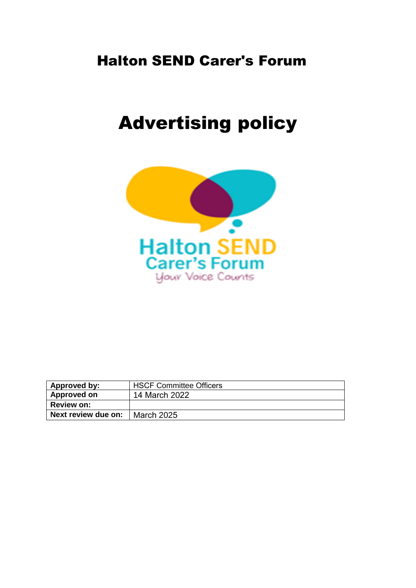# Halton SEND Carer's Forum

# Advertising policy



| Approved by:        | <b>HSCF Committee Officers</b> |
|---------------------|--------------------------------|
| Approved on         | 14 March 2022                  |
| <b>Review on:</b>   |                                |
| Next review due on: | <b>March 2025</b>              |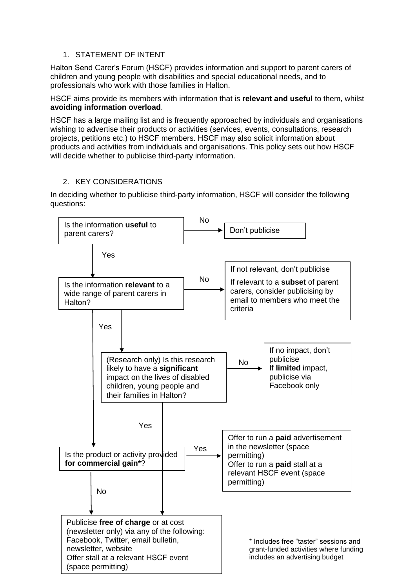## 1. STATEMENT OF INTENT

Halton Send Carer's Forum (HSCF) provides information and support to parent carers of children and young people with disabilities and special educational needs, and to professionals who work with those families in Halton.

HSCF aims provide its members with information that is **relevant and useful** to them, whilst **avoiding information overload**.

HSCF has a large mailing list and is frequently approached by individuals and organisations wishing to advertise their products or activities (services, events, consultations, research projects, petitions etc.) to HSCF members. HSCF may also solicit information about products and activities from individuals and organisations. This policy sets out how HSCF will decide whether to publicise third-party information.

### 2. KEY CONSIDERATIONS

In deciding whether to publicise third-party information, HSCF will consider the following questions: